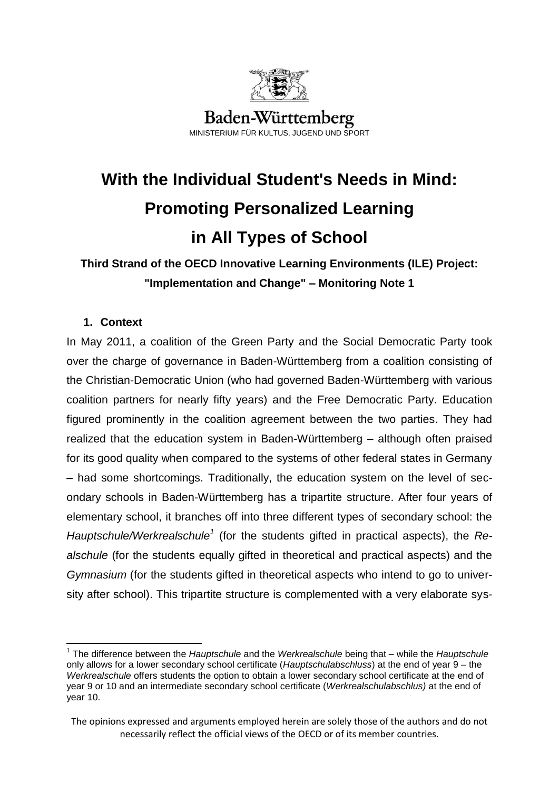

# **With the Individual Student's Needs in Mind: Promoting Personalized Learning in All Types of School**

**Third Strand of the OECD Innovative Learning Environments (ILE) Project: "Implementation and Change" – Monitoring Note 1**

# **1. Context**

 $\overline{a}$ 

In May 2011, a coalition of the Green Party and the Social Democratic Party took over the charge of governance in Baden-Württemberg from a coalition consisting of the Christian-Democratic Union (who had governed Baden-Württemberg with various coalition partners for nearly fifty years) and the Free Democratic Party. Education figured prominently in the coalition agreement between the two parties. They had realized that the education system in Baden-Württemberg – although often praised for its good quality when compared to the systems of other federal states in Germany – had some shortcomings. Traditionally, the education system on the level of secondary schools in Baden-Württemberg has a tripartite structure. After four years of elementary school, it branches off into three different types of secondary school: the Hauptschule/Werkrealschule<sup>1</sup> (for the students gifted in practical aspects), the Re*alschule* (for the students equally gifted in theoretical and practical aspects) and the *Gymnasium* (for the students gifted in theoretical aspects who intend to go to university after school). This tripartite structure is complemented with a very elaborate sys-

<sup>1</sup> The difference between the *Hauptschule* and the *Werkrealschule* being that – while the *Hauptschule*  only allows for a lower secondary school certificate (*Hauptschulabschluss*) at the end of year 9 – the *Werkrealschule* offers students the option to obtain a lower secondary school certificate at the end of year 9 or 10 and an intermediate secondary school certificate (*Werkrealschulabschlus)* at the end of year 10.

The opinions expressed and arguments employed herein are solely those of the authors and do not necessarily reflect the official views of the OECD or of its member countries.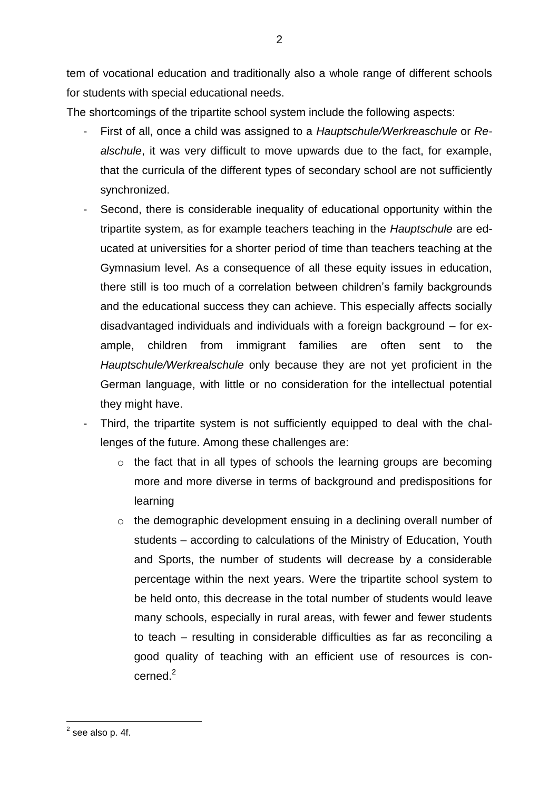tem of vocational education and traditionally also a whole range of different schools for students with special educational needs.

The shortcomings of the tripartite school system include the following aspects:

- First of all, once a child was assigned to a *Hauptschule/Werkreaschule* or *Realschule*, it was very difficult to move upwards due to the fact, for example, that the curricula of the different types of secondary school are not sufficiently synchronized.
- Second, there is considerable inequality of educational opportunity within the tripartite system, as for example teachers teaching in the *Hauptschule* are educated at universities for a shorter period of time than teachers teaching at the Gymnasium level. As a consequence of all these equity issues in education, there still is too much of a correlation between children's family backgrounds and the educational success they can achieve. This especially affects socially disadvantaged individuals and individuals with a foreign background – for example, children from immigrant families are often sent to the *Hauptschule/Werkrealschule* only because they are not yet proficient in the German language, with little or no consideration for the intellectual potential they might have.
- Third, the tripartite system is not sufficiently equipped to deal with the challenges of the future. Among these challenges are:
	- o the fact that in all types of schools the learning groups are becoming more and more diverse in terms of background and predispositions for learning
	- o the demographic development ensuing in a declining overall number of students – according to calculations of the Ministry of Education, Youth and Sports, the number of students will decrease by a considerable percentage within the next years. Were the tripartite school system to be held onto, this decrease in the total number of students would leave many schools, especially in rural areas, with fewer and fewer students to teach – resulting in considerable difficulties as far as reconciling a good quality of teaching with an efficient use of resources is con $c$ erned $^2$

 $\overline{a}$ 

 $<sup>2</sup>$  see also p. 4f.</sup>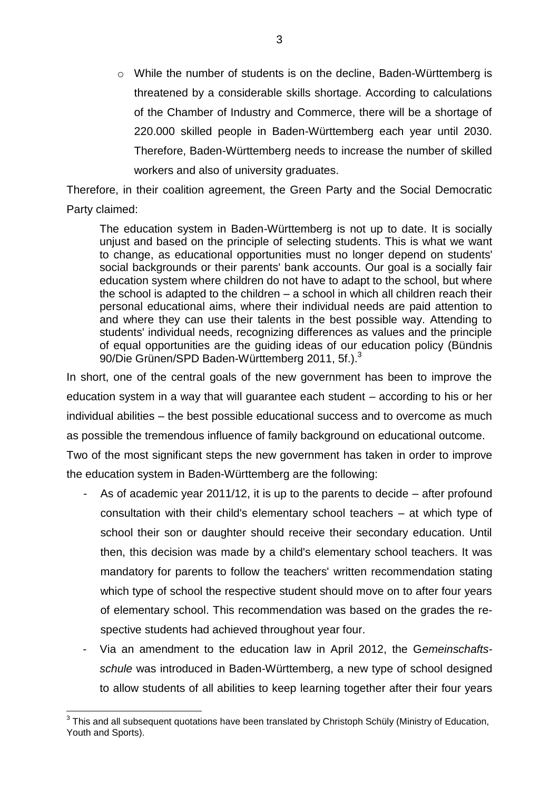o While the number of students is on the decline, Baden-Württemberg is threatened by a considerable skills shortage. According to calculations of the Chamber of Industry and Commerce, there will be a shortage of 220.000 skilled people in Baden-Württemberg each year until 2030. Therefore, Baden-Württemberg needs to increase the number of skilled workers and also of university graduates.

Therefore, in their coalition agreement, the Green Party and the Social Democratic Party claimed:

The education system in Baden-Württemberg is not up to date. It is socially unjust and based on the principle of selecting students. This is what we want to change, as educational opportunities must no longer depend on students' social backgrounds or their parents' bank accounts. Our goal is a socially fair education system where children do not have to adapt to the school, but where the school is adapted to the children – a school in which all children reach their personal educational aims, where their individual needs are paid attention to and where they can use their talents in the best possible way. Attending to students' individual needs, recognizing differences as values and the principle of equal opportunities are the guiding ideas of our education policy (Bündnis 90/Die Grünen/SPD Baden-Württemberg 2011, 5f.).<sup>3</sup>

In short, one of the central goals of the new government has been to improve the education system in a way that will guarantee each student – according to his or her individual abilities – the best possible educational success and to overcome as much as possible the tremendous influence of family background on educational outcome. Two of the most significant steps the new government has taken in order to improve

the education system in Baden-Württemberg are the following:

- As of academic year 2011/12, it is up to the parents to decide  $-$  after profound consultation with their child's elementary school teachers – at which type of school their son or daughter should receive their secondary education. Until then, this decision was made by a child's elementary school teachers. It was mandatory for parents to follow the teachers' written recommendation stating which type of school the respective student should move on to after four years of elementary school. This recommendation was based on the grades the respective students had achieved throughout year four.
- Via an amendment to the education law in April 2012, the G*emeinschaftsschule* was introduced in Baden-Württemberg, a new type of school designed to allow students of all abilities to keep learning together after their four years

 3 This and all subsequent quotations have been translated by Christoph Schüly (Ministry of Education, Youth and Sports).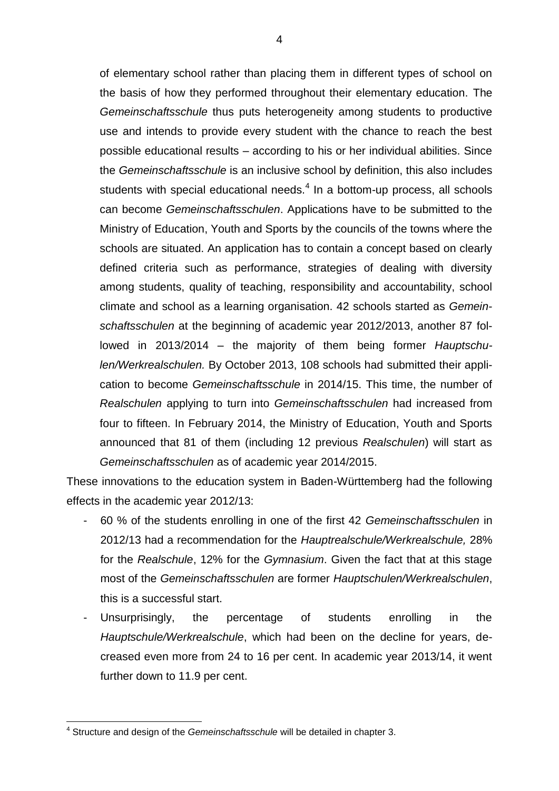of elementary school rather than placing them in different types of school on the basis of how they performed throughout their elementary education. The *Gemeinschaftsschule* thus puts heterogeneity among students to productive use and intends to provide every student with the chance to reach the best possible educational results – according to his or her individual abilities. Since the *Gemeinschaftsschule* is an inclusive school by definition, this also includes students with special educational needs. $4$  In a bottom-up process, all schools can become *Gemeinschaftsschulen*. Applications have to be submitted to the Ministry of Education, Youth and Sports by the councils of the towns where the schools are situated. An application has to contain a concept based on clearly defined criteria such as performance, strategies of dealing with diversity among students, quality of teaching, responsibility and accountability, school climate and school as a learning organisation. 42 schools started as *Gemeinschaftsschulen* at the beginning of academic year 2012/2013, another 87 followed in 2013/2014 – the majority of them being former *Hauptschulen/Werkrealschulen.* By October 2013, 108 schools had submitted their application to become *Gemeinschaftsschule* in 2014/15. This time, the number of *Realschulen* applying to turn into *Gemeinschaftsschulen* had increased from four to fifteen. In February 2014, the Ministry of Education, Youth and Sports announced that 81 of them (including 12 previous *Realschulen*) will start as *Gemeinschaftsschulen* as of academic year 2014/2015.

These innovations to the education system in Baden-Württemberg had the following effects in the academic year 2012/13:

- 60 % of the students enrolling in one of the first 42 *Gemeinschaftsschulen* in 2012/13 had a recommendation for the *Hauptrealschule/Werkrealschule,* 28% for the *Realschule*, 12% for the *Gymnasium*. Given the fact that at this stage most of the *Gemeinschaftsschulen* are former *Hauptschulen/Werkrealschulen*, this is a successful start.
- Unsurprisingly, the percentage of students enrolling in the *Hauptschule/Werkrealschule*, which had been on the decline for years, decreased even more from 24 to 16 per cent. In academic year 2013/14, it went further down to 11.9 per cent.

 $\overline{\phantom{a}}$ 4 Structure and design of the *Gemeinschaftsschule* will be detailed in chapter 3.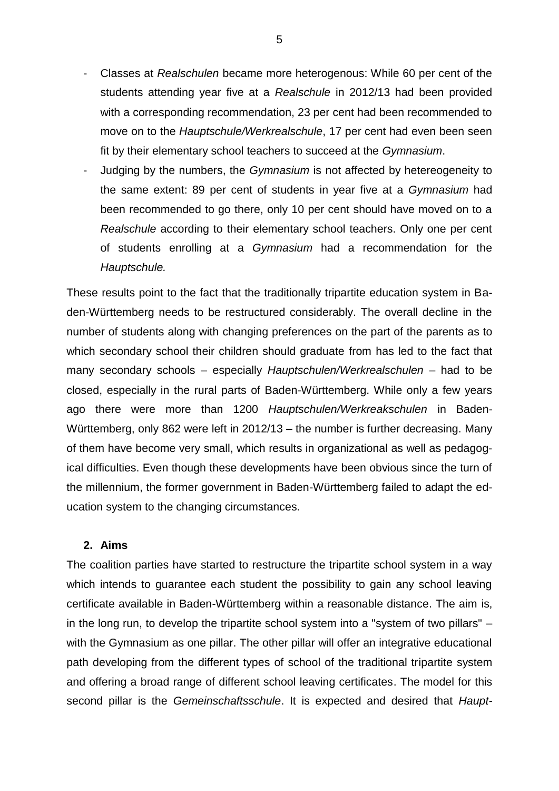- Classes at *Realschulen* became more heterogenous: While 60 per cent of the students attending year five at a *Realschule* in 2012/13 had been provided with a corresponding recommendation, 23 per cent had been recommended to move on to the *Hauptschule/Werkrealschule*, 17 per cent had even been seen fit by their elementary school teachers to succeed at the *Gymnasium*.
- Judging by the numbers, the *Gymnasium* is not affected by hetereogeneity to the same extent: 89 per cent of students in year five at a *Gymnasium* had been recommended to go there, only 10 per cent should have moved on to a *Realschule* according to their elementary school teachers. Only one per cent of students enrolling at a *Gymnasium* had a recommendation for the *Hauptschule.*

These results point to the fact that the traditionally tripartite education system in Baden-Württemberg needs to be restructured considerably. The overall decline in the number of students along with changing preferences on the part of the parents as to which secondary school their children should graduate from has led to the fact that many secondary schools – especially *Hauptschulen/Werkrealschulen* – had to be closed, especially in the rural parts of Baden-Württemberg. While only a few years ago there were more than 1200 *Hauptschulen/Werkreakschulen* in Baden-Württemberg, only 862 were left in 2012/13 – the number is further decreasing. Many of them have become very small, which results in organizational as well as pedagogical difficulties. Even though these developments have been obvious since the turn of the millennium, the former government in Baden-Württemberg failed to adapt the education system to the changing circumstances.

# **2. Aims**

The coalition parties have started to restructure the tripartite school system in a way which intends to quarantee each student the possibility to gain any school leaving certificate available in Baden-Württemberg within a reasonable distance. The aim is, in the long run, to develop the tripartite school system into a "system of two pillars" – with the Gymnasium as one pillar. The other pillar will offer an integrative educational path developing from the different types of school of the traditional tripartite system and offering a broad range of different school leaving certificates. The model for this second pillar is the *Gemeinschaftsschule*. It is expected and desired that *Haupt-*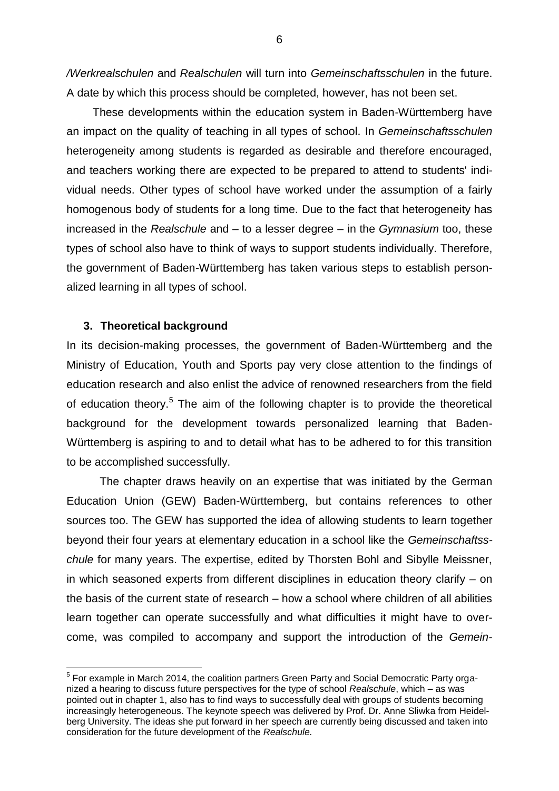*/Werkrealschulen* and *Realschulen* will turn into *Gemeinschaftsschulen* in the future. A date by which this process should be completed, however, has not been set.

These developments within the education system in Baden-Württemberg have an impact on the quality of teaching in all types of school. In *Gemeinschaftsschulen* heterogeneity among students is regarded as desirable and therefore encouraged, and teachers working there are expected to be prepared to attend to students' individual needs. Other types of school have worked under the assumption of a fairly homogenous body of students for a long time. Due to the fact that heterogeneity has increased in the *Realschule* and – to a lesser degree – in the *Gymnasium* too, these types of school also have to think of ways to support students individually. Therefore, the government of Baden-Württemberg has taken various steps to establish personalized learning in all types of school.

## **3. Theoretical background**

 $\overline{a}$ 

In its decision-making processes, the government of Baden-Württemberg and the Ministry of Education, Youth and Sports pay very close attention to the findings of education research and also enlist the advice of renowned researchers from the field of education theory.<sup>5</sup> The aim of the following chapter is to provide the theoretical background for the development towards personalized learning that Baden-Württemberg is aspiring to and to detail what has to be adhered to for this transition to be accomplished successfully.

The chapter draws heavily on an expertise that was initiated by the German Education Union (GEW) Baden-Württemberg, but contains references to other sources too. The GEW has supported the idea of allowing students to learn together beyond their four years at elementary education in a school like the *Gemeinschaftsschule* for many years. The expertise, edited by Thorsten Bohl and Sibylle Meissner, in which seasoned experts from different disciplines in education theory clarify – on the basis of the current state of research – how a school where children of all abilities learn together can operate successfully and what difficulties it might have to overcome, was compiled to accompany and support the introduction of the *Gemein-*

<sup>&</sup>lt;sup>5</sup> For example in March 2014, the coalition partners Green Party and Social Democratic Party organized a hearing to discuss future perspectives for the type of school *Realschule*, which – as was pointed out in chapter 1, also has to find ways to successfully deal with groups of students becoming increasingly heterogeneous. The keynote speech was delivered by Prof. Dr. Anne Sliwka from Heidelberg University. The ideas she put forward in her speech are currently being discussed and taken into consideration for the future development of the *Realschule.*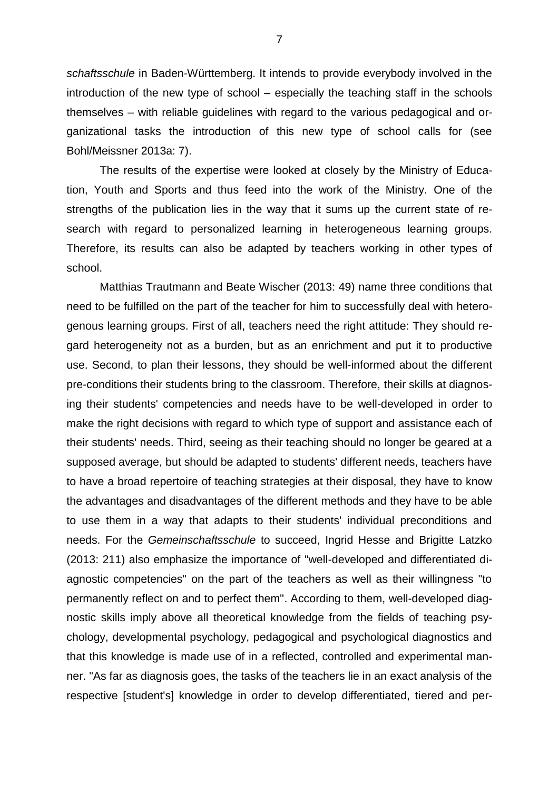*schaftsschule* in Baden-Württemberg. It intends to provide everybody involved in the introduction of the new type of school – especially the teaching staff in the schools themselves – with reliable guidelines with regard to the various pedagogical and organizational tasks the introduction of this new type of school calls for (see Bohl/Meissner 2013a: 7).

The results of the expertise were looked at closely by the Ministry of Education, Youth and Sports and thus feed into the work of the Ministry. One of the strengths of the publication lies in the way that it sums up the current state of research with regard to personalized learning in heterogeneous learning groups. Therefore, its results can also be adapted by teachers working in other types of school.

Matthias Trautmann and Beate Wischer (2013: 49) name three conditions that need to be fulfilled on the part of the teacher for him to successfully deal with heterogenous learning groups. First of all, teachers need the right attitude: They should regard heterogeneity not as a burden, but as an enrichment and put it to productive use. Second, to plan their lessons, they should be well-informed about the different pre-conditions their students bring to the classroom. Therefore, their skills at diagnosing their students' competencies and needs have to be well-developed in order to make the right decisions with regard to which type of support and assistance each of their students' needs. Third, seeing as their teaching should no longer be geared at a supposed average, but should be adapted to students' different needs, teachers have to have a broad repertoire of teaching strategies at their disposal, they have to know the advantages and disadvantages of the different methods and they have to be able to use them in a way that adapts to their students' individual preconditions and needs. For the *Gemeinschaftsschule* to succeed, Ingrid Hesse and Brigitte Latzko (2013: 211) also emphasize the importance of "well-developed and differentiated diagnostic competencies" on the part of the teachers as well as their willingness "to permanently reflect on and to perfect them". According to them, well-developed diagnostic skills imply above all theoretical knowledge from the fields of teaching psychology, developmental psychology, pedagogical and psychological diagnostics and that this knowledge is made use of in a reflected, controlled and experimental manner. "As far as diagnosis goes, the tasks of the teachers lie in an exact analysis of the respective [student's] knowledge in order to develop differentiated, tiered and per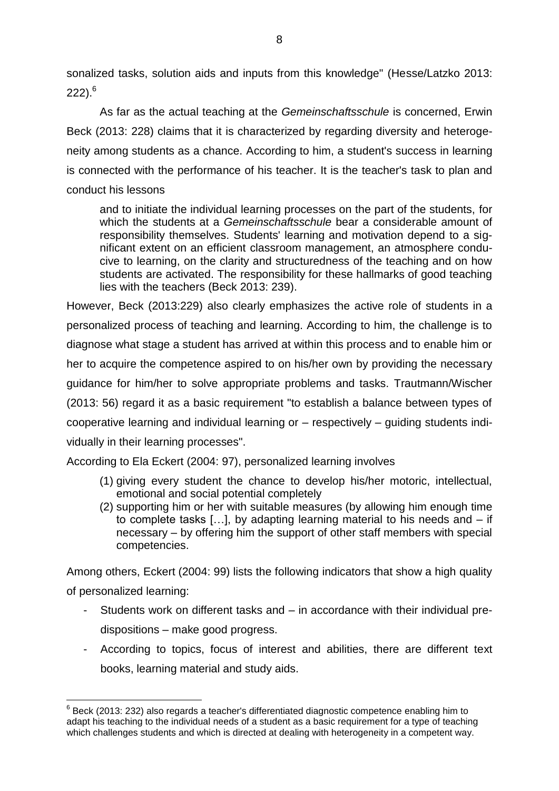sonalized tasks, solution aids and inputs from this knowledge" (Hesse/Latzko 2013:  $222$ ).<sup>6</sup>

As far as the actual teaching at the *Gemeinschaftsschule* is concerned, Erwin Beck (2013: 228) claims that it is characterized by regarding diversity and heterogeneity among students as a chance. According to him, a student's success in learning is connected with the performance of his teacher. It is the teacher's task to plan and conduct his lessons

and to initiate the individual learning processes on the part of the students, for which the students at a *Gemeinschaftsschule* bear a considerable amount of responsibility themselves. Students' learning and motivation depend to a significant extent on an efficient classroom management, an atmosphere conducive to learning, on the clarity and structuredness of the teaching and on how students are activated. The responsibility for these hallmarks of good teaching lies with the teachers (Beck 2013: 239).

However, Beck (2013:229) also clearly emphasizes the active role of students in a personalized process of teaching and learning. According to him, the challenge is to diagnose what stage a student has arrived at within this process and to enable him or her to acquire the competence aspired to on his/her own by providing the necessary guidance for him/her to solve appropriate problems and tasks. Trautmann/Wischer (2013: 56) regard it as a basic requirement "to establish a balance between types of cooperative learning and individual learning or – respectively – guiding students individually in their learning processes".

According to Ela Eckert (2004: 97), personalized learning involves

- (1) giving every student the chance to develop his/her motoric, intellectual, emotional and social potential completely
- (2) supporting him or her with suitable measures (by allowing him enough time to complete tasks […], by adapting learning material to his needs and – if necessary – by offering him the support of other staff members with special competencies.

Among others, Eckert (2004: 99) lists the following indicators that show a high quality of personalized learning:

- Students work on different tasks and in accordance with their individual predispositions – make good progress.
- According to topics, focus of interest and abilities, there are different text books, learning material and study aids.

 $\overline{a}$  $^6$  Beck (2013: 232) also regards a teacher's differentiated diagnostic competence enabling him to adapt his teaching to the individual needs of a student as a basic requirement for a type of teaching which challenges students and which is directed at dealing with heterogeneity in a competent way.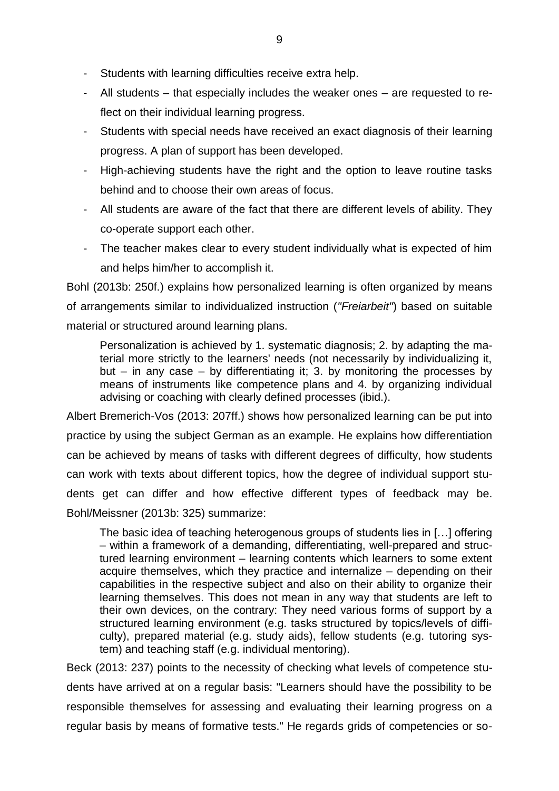- Students with learning difficulties receive extra help.
- All students that especially includes the weaker ones are requested to reflect on their individual learning progress.
- Students with special needs have received an exact diagnosis of their learning progress. A plan of support has been developed.
- High-achieving students have the right and the option to leave routine tasks behind and to choose their own areas of focus.
- All students are aware of the fact that there are different levels of ability. They co-operate support each other.
- The teacher makes clear to every student individually what is expected of him and helps him/her to accomplish it.

Bohl (2013b: 250f.) explains how personalized learning is often organized by means of arrangements similar to individualized instruction (*"Freiarbeit"*) based on suitable material or structured around learning plans.

Personalization is achieved by 1. systematic diagnosis; 2. by adapting the material more strictly to the learners' needs (not necessarily by individualizing it, but – in any case – by differentiating it; 3. by monitoring the processes by means of instruments like competence plans and 4. by organizing individual advising or coaching with clearly defined processes (ibid.).

Albert Bremerich-Vos (2013: 207ff.) shows how personalized learning can be put into practice by using the subject German as an example. He explains how differentiation can be achieved by means of tasks with different degrees of difficulty, how students can work with texts about different topics, how the degree of individual support students get can differ and how effective different types of feedback may be. Bohl/Meissner (2013b: 325) summarize:

The basic idea of teaching heterogenous groups of students lies in […] offering – within a framework of a demanding, differentiating, well-prepared and structured learning environment – learning contents which learners to some extent acquire themselves, which they practice and internalize – depending on their capabilities in the respective subject and also on their ability to organize their learning themselves. This does not mean in any way that students are left to their own devices, on the contrary: They need various forms of support by a structured learning environment (e.g. tasks structured by topics/levels of difficulty), prepared material (e.g. study aids), fellow students (e.g. tutoring system) and teaching staff (e.g. individual mentoring).

Beck (2013: 237) points to the necessity of checking what levels of competence students have arrived at on a regular basis: "Learners should have the possibility to be responsible themselves for assessing and evaluating their learning progress on a regular basis by means of formative tests." He regards grids of competencies or so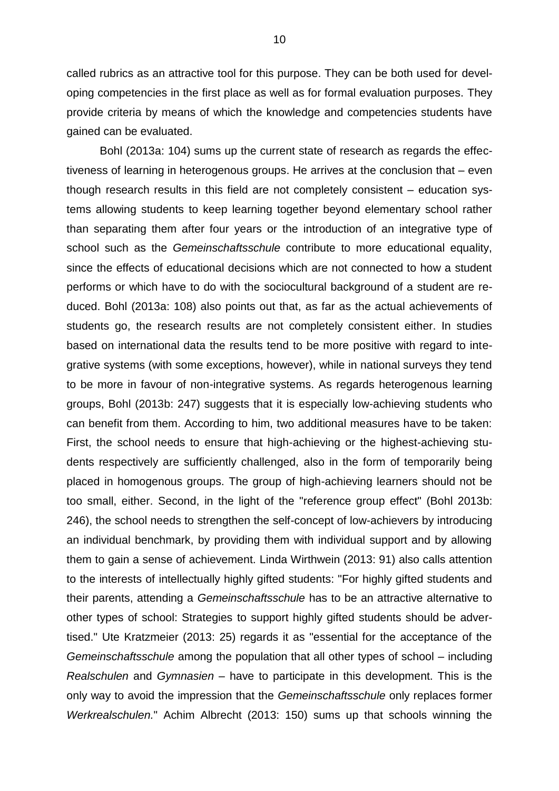called rubrics as an attractive tool for this purpose. They can be both used for developing competencies in the first place as well as for formal evaluation purposes. They provide criteria by means of which the knowledge and competencies students have gained can be evaluated.

Bohl (2013a: 104) sums up the current state of research as regards the effectiveness of learning in heterogenous groups. He arrives at the conclusion that – even though research results in this field are not completely consistent – education systems allowing students to keep learning together beyond elementary school rather than separating them after four years or the introduction of an integrative type of school such as the *Gemeinschaftsschule* contribute to more educational equality, since the effects of educational decisions which are not connected to how a student performs or which have to do with the sociocultural background of a student are reduced. Bohl (2013a: 108) also points out that, as far as the actual achievements of students go, the research results are not completely consistent either. In studies based on international data the results tend to be more positive with regard to integrative systems (with some exceptions, however), while in national surveys they tend to be more in favour of non-integrative systems. As regards heterogenous learning groups, Bohl (2013b: 247) suggests that it is especially low-achieving students who can benefit from them. According to him, two additional measures have to be taken: First, the school needs to ensure that high-achieving or the highest-achieving students respectively are sufficiently challenged, also in the form of temporarily being placed in homogenous groups. The group of high-achieving learners should not be too small, either. Second, in the light of the "reference group effect" (Bohl 2013b: 246), the school needs to strengthen the self-concept of low-achievers by introducing an individual benchmark, by providing them with individual support and by allowing them to gain a sense of achievement. Linda Wirthwein (2013: 91) also calls attention to the interests of intellectually highly gifted students: "For highly gifted students and their parents, attending a *Gemeinschaftsschule* has to be an attractive alternative to other types of school: Strategies to support highly gifted students should be advertised." Ute Kratzmeier (2013: 25) regards it as "essential for the acceptance of the *Gemeinschaftsschule* among the population that all other types of school – including *Realschulen* and *Gymnasien* – have to participate in this development. This is the only way to avoid the impression that the *Gemeinschaftsschule* only replaces former *Werkrealschulen.*" Achim Albrecht (2013: 150) sums up that schools winning the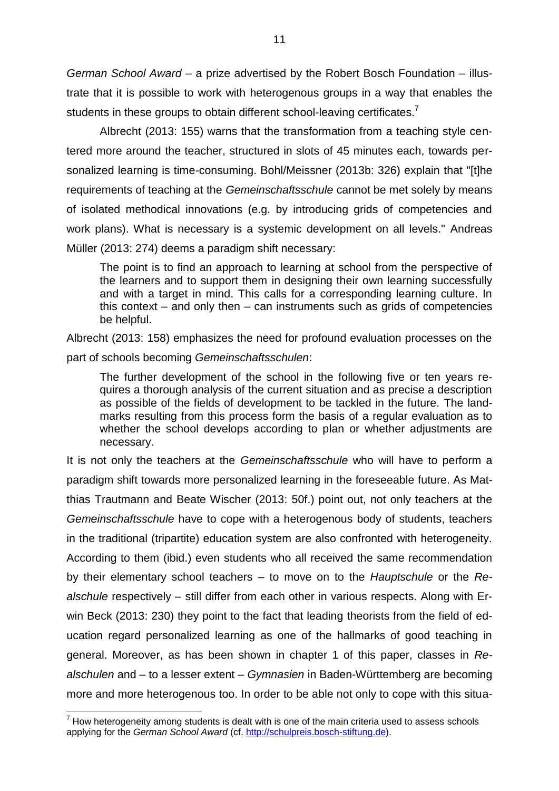*German School Award* – a prize advertised by the Robert Bosch Foundation – illustrate that it is possible to work with heterogenous groups in a way that enables the students in these groups to obtain different school-leaving certificates.<sup>7</sup>

Albrecht (2013: 155) warns that the transformation from a teaching style centered more around the teacher, structured in slots of 45 minutes each, towards personalized learning is time-consuming. Bohl/Meissner (2013b: 326) explain that "[t]he requirements of teaching at the *Gemeinschaftsschule* cannot be met solely by means of isolated methodical innovations (e.g. by introducing grids of competencies and work plans). What is necessary is a systemic development on all levels." Andreas Müller (2013: 274) deems a paradigm shift necessary:

The point is to find an approach to learning at school from the perspective of the learners and to support them in designing their own learning successfully and with a target in mind. This calls for a corresponding learning culture. In this context – and only then – can instruments such as grids of competencies be helpful.

Albrecht (2013: 158) emphasizes the need for profound evaluation processes on the part of schools becoming *Gemeinschaftsschulen*:

The further development of the school in the following five or ten years requires a thorough analysis of the current situation and as precise a description as possible of the fields of development to be tackled in the future. The landmarks resulting from this process form the basis of a regular evaluation as to whether the school develops according to plan or whether adjustments are necessary.

It is not only the teachers at the *Gemeinschaftsschule* who will have to perform a paradigm shift towards more personalized learning in the foreseeable future. As Matthias Trautmann and Beate Wischer (2013: 50f.) point out, not only teachers at the *Gemeinschaftsschule* have to cope with a heterogenous body of students, teachers in the traditional (tripartite) education system are also confronted with heterogeneity. According to them (ibid.) even students who all received the same recommendation by their elementary school teachers – to move on to the *Hauptschule* or the *Realschule* respectively – still differ from each other in various respects. Along with Erwin Beck (2013: 230) they point to the fact that leading theorists from the field of education regard personalized learning as one of the hallmarks of good teaching in general. Moreover, as has been shown in chapter 1 of this paper, classes in *Realschulen* and – to a lesser extent – *Gymnasien* in Baden-Württemberg are becoming more and more heterogenous too. In order to be able not only to cope with this situa-

 $\overline{a}$ 

 $7$  How heterogeneity among students is dealt with is one of the main criteria used to assess schools applying for the *German School Award* (cf. [http://schulpreis.bosch-stiftung.de\)](http://schulpreis.bosch-stiftung.de/).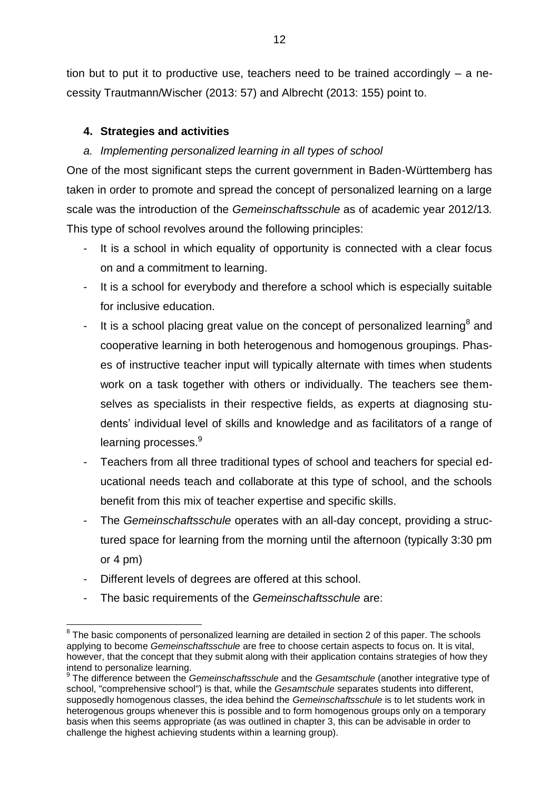tion but to put it to productive use, teachers need to be trained accordingly – a necessity Trautmann/Wischer (2013: 57) and Albrecht (2013: 155) point to.

# **4. Strategies and activities**

# *a. Implementing personalized learning in all types of school*

One of the most significant steps the current government in Baden-Württemberg has taken in order to promote and spread the concept of personalized learning on a large scale was the introduction of the *Gemeinschaftsschule* as of academic year 2012/13*.*  This type of school revolves around the following principles:

- It is a school in which equality of opportunity is connected with a clear focus on and a commitment to learning.
- It is a school for everybody and therefore a school which is especially suitable for inclusive education.
- It is a school placing great value on the concept of personalized learning<sup>8</sup> and cooperative learning in both heterogenous and homogenous groupings. Phases of instructive teacher input will typically alternate with times when students work on a task together with others or individually. The teachers see themselves as specialists in their respective fields, as experts at diagnosing students' individual level of skills and knowledge and as facilitators of a range of learning processes.<sup>9</sup>
- Teachers from all three traditional types of school and teachers for special educational needs teach and collaborate at this type of school, and the schools benefit from this mix of teacher expertise and specific skills.
- The *Gemeinschaftsschule* operates with an all-day concept, providing a structured space for learning from the morning until the afternoon (typically 3:30 pm or 4 pm)
- Different levels of degrees are offered at this school.
- The basic requirements of the *Gemeinschaftsschule* are:

 $\overline{a}$  $^8$  The basic components of personalized learning are detailed in section 2 of this paper. The schools applying to become *Gemeinschaftsschule* are free to choose certain aspects to focus on. It is vital, however, that the concept that they submit along with their application contains strategies of how they intend to personalize learning.

<sup>9</sup> The difference between the *Gemeinschaftsschule* and the *Gesamtschule* (another integrative type of school, "comprehensive school") is that, while the *Gesamtschule* separates students into different, supposedly homogenous classes, the idea behind the *Gemeinschaftsschule* is to let students work in heterogenous groups whenever this is possible and to form homogenous groups only on a temporary basis when this seems appropriate (as was outlined in chapter 3, this can be advisable in order to challenge the highest achieving students within a learning group).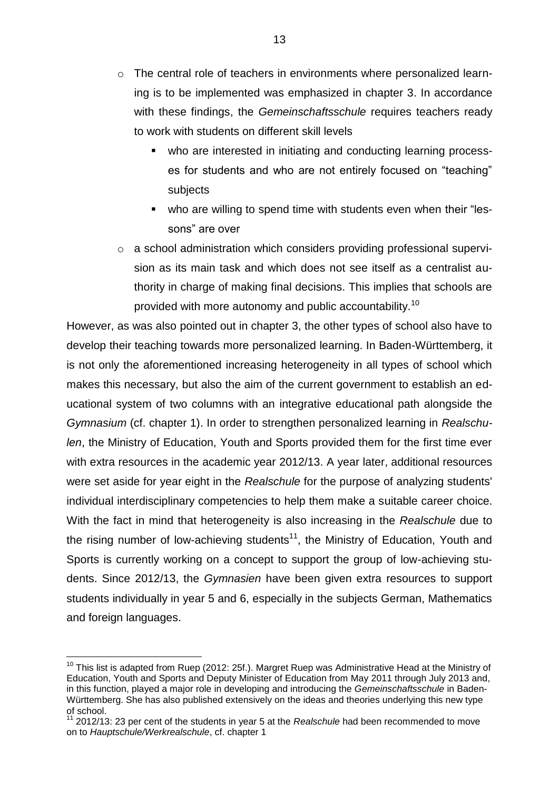- o The central role of teachers in environments where personalized learning is to be implemented was emphasized in chapter 3. In accordance with these findings, the *Gemeinschaftsschule* requires teachers ready to work with students on different skill levels
	- who are interested in initiating and conducting learning processes for students and who are not entirely focused on "teaching" subjects
	- who are willing to spend time with students even when their "lessons" are over
- o a school administration which considers providing professional supervision as its main task and which does not see itself as a centralist authority in charge of making final decisions. This implies that schools are provided with more autonomy and public accountability.<sup>10</sup>

However, as was also pointed out in chapter 3, the other types of school also have to develop their teaching towards more personalized learning. In Baden-Württemberg, it is not only the aforementioned increasing heterogeneity in all types of school which makes this necessary, but also the aim of the current government to establish an educational system of two columns with an integrative educational path alongside the *Gymnasium* (cf. chapter 1). In order to strengthen personalized learning in *Realschulen*, the Ministry of Education, Youth and Sports provided them for the first time ever with extra resources in the academic year 2012/13. A year later, additional resources were set aside for year eight in the *Realschule* for the purpose of analyzing students' individual interdisciplinary competencies to help them make a suitable career choice. With the fact in mind that heterogeneity is also increasing in the *Realschule* due to the rising number of low-achieving students<sup>11</sup>, the Ministry of Education, Youth and Sports is currently working on a concept to support the group of low-achieving students. Since 2012/13, the *Gymnasien* have been given extra resources to support students individually in year 5 and 6, especially in the subjects German, Mathematics and foreign languages.

 $\overline{a}$ 

<sup>&</sup>lt;sup>10</sup> This list is adapted from Ruep (2012: 25f.). Margret Ruep was Administrative Head at the Ministry of Education, Youth and Sports and Deputy Minister of Education from May 2011 through July 2013 and, in this function, played a major role in developing and introducing the *Gemeinschaftsschule* in Baden-Württemberg. She has also published extensively on the ideas and theories underlying this new type of school.

<sup>&</sup>lt;sup>11</sup> 2012/13: 23 per cent of the students in year 5 at the *Realschule* had been recommended to move on to *Hauptschule/Werkrealschule*, cf. chapter 1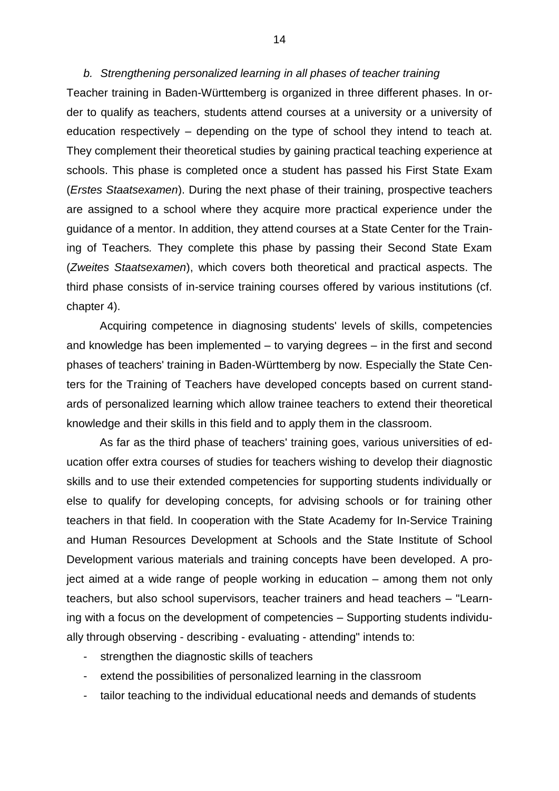### *b. Strengthening personalized learning in all phases of teacher training*

Teacher training in Baden-Württemberg is organized in three different phases. In order to qualify as teachers, students attend courses at a university or a university of education respectively – depending on the type of school they intend to teach at. They complement their theoretical studies by gaining practical teaching experience at schools. This phase is completed once a student has passed his First State Exam (*Erstes Staatsexamen*). During the next phase of their training, prospective teachers are assigned to a school where they acquire more practical experience under the guidance of a mentor. In addition, they attend courses at a State Center for the Training of Teachers*.* They complete this phase by passing their Second State Exam (*Zweites Staatsexamen*), which covers both theoretical and practical aspects. The third phase consists of in-service training courses offered by various institutions (cf. chapter 4).

Acquiring competence in diagnosing students' levels of skills, competencies and knowledge has been implemented – to varying degrees – in the first and second phases of teachers' training in Baden-Württemberg by now. Especially the State Centers for the Training of Teachers have developed concepts based on current standards of personalized learning which allow trainee teachers to extend their theoretical knowledge and their skills in this field and to apply them in the classroom.

As far as the third phase of teachers' training goes, various universities of education offer extra courses of studies for teachers wishing to develop their diagnostic skills and to use their extended competencies for supporting students individually or else to qualify for developing concepts, for advising schools or for training other teachers in that field. In cooperation with the State Academy for In-Service Training and Human Resources Development at Schools and the State Institute of School Development various materials and training concepts have been developed. A project aimed at a wide range of people working in education – among them not only teachers, but also school supervisors, teacher trainers and head teachers – "Learning with a focus on the development of competencies – Supporting students individually through observing - describing - evaluating - attending" intends to:

- strengthen the diagnostic skills of teachers
- extend the possibilities of personalized learning in the classroom
- tailor teaching to the individual educational needs and demands of students

14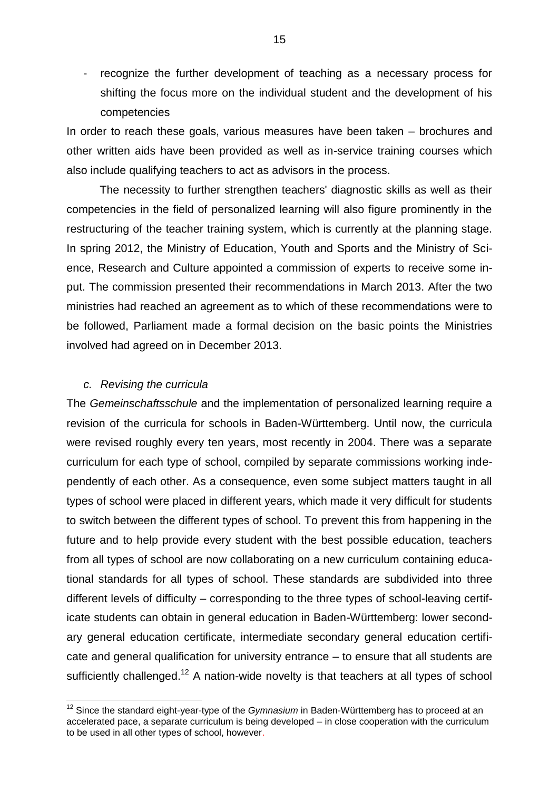recognize the further development of teaching as a necessary process for shifting the focus more on the individual student and the development of his competencies

In order to reach these goals, various measures have been taken – brochures and other written aids have been provided as well as in-service training courses which also include qualifying teachers to act as advisors in the process.

The necessity to further strengthen teachers' diagnostic skills as well as their competencies in the field of personalized learning will also figure prominently in the restructuring of the teacher training system, which is currently at the planning stage. In spring 2012, the Ministry of Education, Youth and Sports and the Ministry of Science, Research and Culture appointed a commission of experts to receive some input. The commission presented their recommendations in March 2013. After the two ministries had reached an agreement as to which of these recommendations were to be followed, Parliament made a formal decision on the basic points the Ministries involved had agreed on in December 2013.

## *c. Revising the curricula*

 $\overline{a}$ 

The *Gemeinschaftsschule* and the implementation of personalized learning require a revision of the curricula for schools in Baden-Württemberg. Until now, the curricula were revised roughly every ten years, most recently in 2004. There was a separate curriculum for each type of school, compiled by separate commissions working independently of each other. As a consequence, even some subject matters taught in all types of school were placed in different years, which made it very difficult for students to switch between the different types of school. To prevent this from happening in the future and to help provide every student with the best possible education, teachers from all types of school are now collaborating on a new curriculum containing educational standards for all types of school. These standards are subdivided into three different levels of difficulty – corresponding to the three types of school-leaving certificate students can obtain in general education in Baden-Württemberg: lower secondary general education certificate, intermediate secondary general education certificate and general qualification for university entrance – to ensure that all students are sufficiently challenged.<sup>12</sup> A nation-wide novelty is that teachers at all types of school

<sup>12</sup> Since the standard eight-year-type of the *Gymnasium* in Baden-Württemberg has to proceed at an accelerated pace, a separate curriculum is being developed – in close cooperation with the curriculum to be used in all other types of school, however.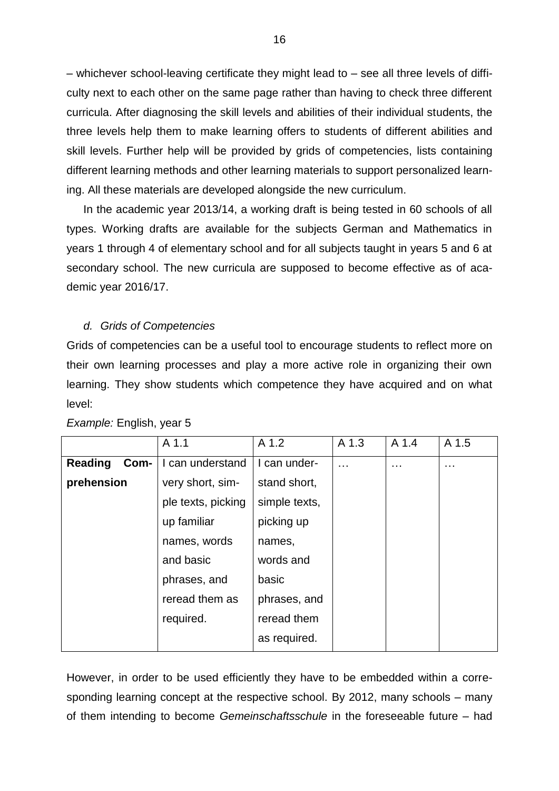– whichever school-leaving certificate they might lead to – see all three levels of difficulty next to each other on the same page rather than having to check three different curricula. After diagnosing the skill levels and abilities of their individual students, the three levels help them to make learning offers to students of different abilities and skill levels. Further help will be provided by grids of competencies, lists containing different learning methods and other learning materials to support personalized learning. All these materials are developed alongside the new curriculum.

In the academic year 2013/14, a working draft is being tested in 60 schools of all types. Working drafts are available for the subjects German and Mathematics in years 1 through 4 of elementary school and for all subjects taught in years 5 and 6 at secondary school. The new curricula are supposed to become effective as of academic year 2016/17.

## *d. Grids of Competencies*

Grids of competencies can be a useful tool to encourage students to reflect more on their own learning processes and play a more active role in organizing their own learning. They show students which competence they have acquired and on what level:

|                        | A 1.1              | A 1.2         | A 1.3    | A 1.4    | A 1.5    |
|------------------------|--------------------|---------------|----------|----------|----------|
| <b>Reading</b><br>Com- | I can understand   | I can under-  | $\cdots$ | $\cdots$ | $\cdots$ |
| prehension             | very short, sim-   | stand short,  |          |          |          |
|                        | ple texts, picking | simple texts, |          |          |          |
|                        | up familiar        | picking up    |          |          |          |
|                        | names, words       | names,        |          |          |          |
|                        | and basic          | words and     |          |          |          |
|                        | phrases, and       | basic         |          |          |          |
|                        | reread them as     | phrases, and  |          |          |          |
|                        | required.          | reread them   |          |          |          |
|                        |                    | as required.  |          |          |          |

*Example:* English, year 5

However, in order to be used efficiently they have to be embedded within a corresponding learning concept at the respective school. By 2012, many schools – many of them intending to become *Gemeinschaftsschule* in the foreseeable future – had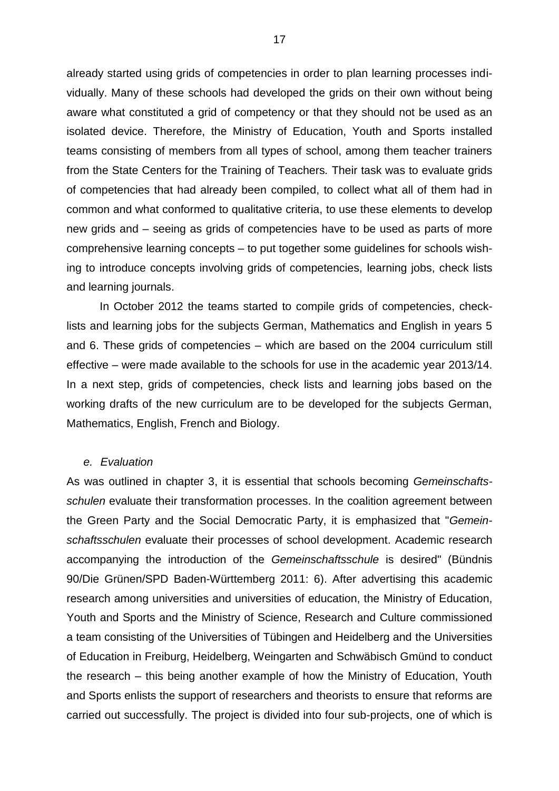already started using grids of competencies in order to plan learning processes individually. Many of these schools had developed the grids on their own without being aware what constituted a grid of competency or that they should not be used as an isolated device. Therefore, the Ministry of Education, Youth and Sports installed teams consisting of members from all types of school, among them teacher trainers from the State Centers for the Training of Teachers*.* Their task was to evaluate grids of competencies that had already been compiled, to collect what all of them had in common and what conformed to qualitative criteria, to use these elements to develop new grids and – seeing as grids of competencies have to be used as parts of more comprehensive learning concepts – to put together some guidelines for schools wishing to introduce concepts involving grids of competencies, learning jobs, check lists and learning journals.

In October 2012 the teams started to compile grids of competencies, checklists and learning jobs for the subjects German, Mathematics and English in years 5 and 6. These grids of competencies – which are based on the 2004 curriculum still effective – were made available to the schools for use in the academic year 2013/14. In a next step, grids of competencies, check lists and learning jobs based on the working drafts of the new curriculum are to be developed for the subjects German, Mathematics, English, French and Biology.

#### *e. Evaluation*

As was outlined in chapter 3, it is essential that schools becoming *Gemeinschaftsschulen* evaluate their transformation processes. In the coalition agreement between the Green Party and the Social Democratic Party, it is emphasized that "*Gemeinschaftsschulen* evaluate their processes of school development. Academic research accompanying the introduction of the *Gemeinschaftsschule* is desired" (Bündnis 90/Die Grünen/SPD Baden-Württemberg 2011: 6). After advertising this academic research among universities and universities of education, the Ministry of Education, Youth and Sports and the Ministry of Science, Research and Culture commissioned a team consisting of the Universities of Tübingen and Heidelberg and the Universities of Education in Freiburg, Heidelberg, Weingarten and Schwäbisch Gmünd to conduct the research – this being another example of how the Ministry of Education, Youth and Sports enlists the support of researchers and theorists to ensure that reforms are carried out successfully. The project is divided into four sub-projects, one of which is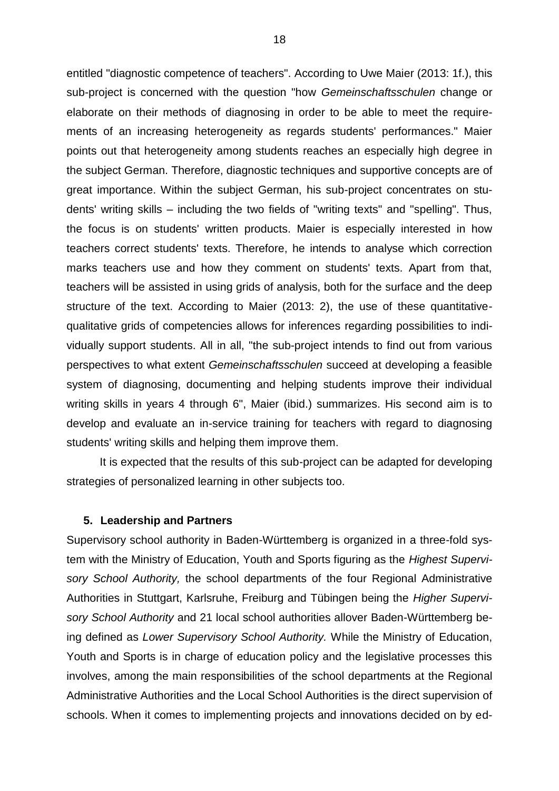entitled "diagnostic competence of teachers". According to Uwe Maier (2013: 1f.), this sub-project is concerned with the question "how *Gemeinschaftsschulen* change or elaborate on their methods of diagnosing in order to be able to meet the requirements of an increasing heterogeneity as regards students' performances." Maier points out that heterogeneity among students reaches an especially high degree in the subject German. Therefore, diagnostic techniques and supportive concepts are of great importance. Within the subject German, his sub-project concentrates on students' writing skills – including the two fields of "writing texts" and "spelling". Thus, the focus is on students' written products. Maier is especially interested in how teachers correct students' texts. Therefore, he intends to analyse which correction marks teachers use and how they comment on students' texts. Apart from that, teachers will be assisted in using grids of analysis, both for the surface and the deep structure of the text. According to Maier (2013: 2), the use of these quantitativequalitative grids of competencies allows for inferences regarding possibilities to individually support students. All in all, "the sub-project intends to find out from various perspectives to what extent *Gemeinschaftsschulen* succeed at developing a feasible system of diagnosing, documenting and helping students improve their individual writing skills in years 4 through 6", Maier (ibid.) summarizes. His second aim is to develop and evaluate an in-service training for teachers with regard to diagnosing students' writing skills and helping them improve them.

It is expected that the results of this sub-project can be adapted for developing strategies of personalized learning in other subjects too.

### **5. Leadership and Partners**

Supervisory school authority in Baden-Württemberg is organized in a three-fold system with the Ministry of Education, Youth and Sports figuring as the *Highest Supervisory School Authority,* the school departments of the four Regional Administrative Authorities in Stuttgart, Karlsruhe, Freiburg and Tübingen being the *Higher Supervisory School Authority* and 21 local school authorities allover Baden-Württemberg being defined as *Lower Supervisory School Authority.* While the Ministry of Education, Youth and Sports is in charge of education policy and the legislative processes this involves, among the main responsibilities of the school departments at the Regional Administrative Authorities and the Local School Authorities is the direct supervision of schools. When it comes to implementing projects and innovations decided on by ed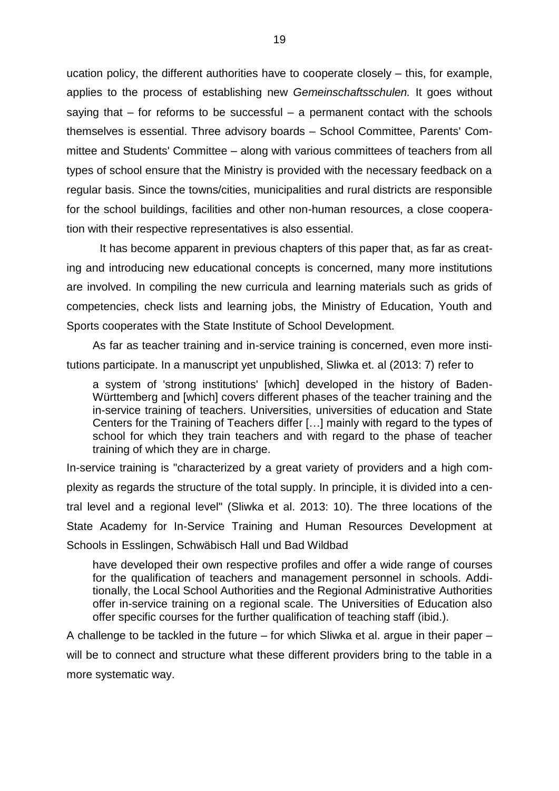ucation policy, the different authorities have to cooperate closely – this, for example, applies to the process of establishing new *Gemeinschaftsschulen.* It goes without saying that  $-$  for reforms to be successful  $-$  a permanent contact with the schools themselves is essential. Three advisory boards – School Committee, Parents' Committee and Students' Committee – along with various committees of teachers from all types of school ensure that the Ministry is provided with the necessary feedback on a regular basis. Since the towns/cities, municipalities and rural districts are responsible for the school buildings, facilities and other non-human resources, a close cooperation with their respective representatives is also essential.

It has become apparent in previous chapters of this paper that, as far as creating and introducing new educational concepts is concerned, many more institutions are involved. In compiling the new curricula and learning materials such as grids of competencies, check lists and learning jobs, the Ministry of Education, Youth and Sports cooperates with the State Institute of School Development.

As far as teacher training and in-service training is concerned, even more institutions participate. In a manuscript yet unpublished, Sliwka et. al (2013: 7) refer to

a system of 'strong institutions' [which] developed in the history of Baden-Württemberg and [which] covers different phases of the teacher training and the in-service training of teachers. Universities, universities of education and State Centers for the Training of Teachers differ […] mainly with regard to the types of school for which they train teachers and with regard to the phase of teacher training of which they are in charge.

In-service training is "characterized by a great variety of providers and a high complexity as regards the structure of the total supply. In principle, it is divided into a central level and a regional level" (Sliwka et al. 2013: 10). The three locations of the State Academy for In-Service Training and Human Resources Development at Schools in Esslingen, Schwäbisch Hall und Bad Wildbad

have developed their own respective profiles and offer a wide range of courses for the qualification of teachers and management personnel in schools. Additionally, the Local School Authorities and the Regional Administrative Authorities offer in-service training on a regional scale. The Universities of Education also offer specific courses for the further qualification of teaching staff (ibid.).

A challenge to be tackled in the future – for which Sliwka et al. argue in their paper – will be to connect and structure what these different providers bring to the table in a more systematic way.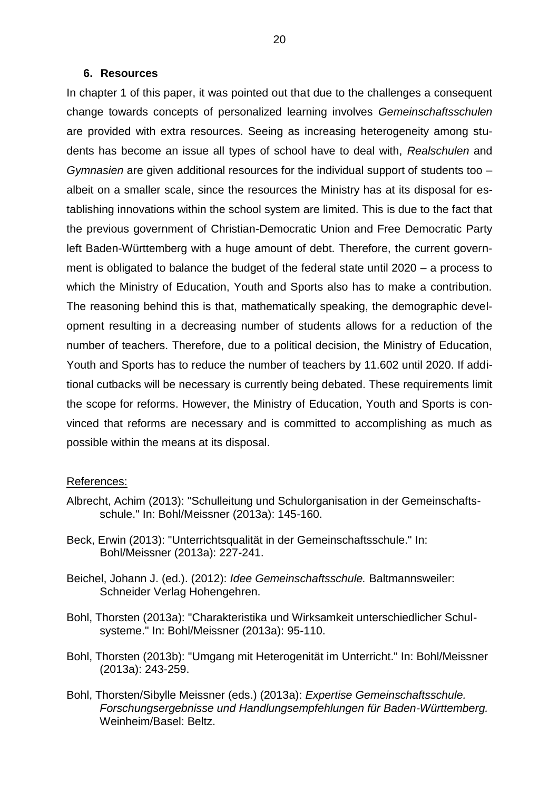#### **6. Resources**

In chapter 1 of this paper, it was pointed out that due to the challenges a consequent change towards concepts of personalized learning involves *Gemeinschaftsschulen*  are provided with extra resources. Seeing as increasing heterogeneity among students has become an issue all types of school have to deal with, *Realschulen* and *Gymnasien* are given additional resources for the individual support of students too – albeit on a smaller scale, since the resources the Ministry has at its disposal for establishing innovations within the school system are limited. This is due to the fact that the previous government of Christian-Democratic Union and Free Democratic Party left Baden-Württemberg with a huge amount of debt. Therefore, the current government is obligated to balance the budget of the federal state until 2020 – a process to which the Ministry of Education, Youth and Sports also has to make a contribution. The reasoning behind this is that, mathematically speaking, the demographic development resulting in a decreasing number of students allows for a reduction of the number of teachers. Therefore, due to a political decision, the Ministry of Education, Youth and Sports has to reduce the number of teachers by 11.602 until 2020. If additional cutbacks will be necessary is currently being debated. These requirements limit the scope for reforms. However, the Ministry of Education, Youth and Sports is convinced that reforms are necessary and is committed to accomplishing as much as possible within the means at its disposal.

#### References:

- Albrecht, Achim (2013): "Schulleitung und Schulorganisation in der Gemeinschaftsschule." In: Bohl/Meissner (2013a): 145-160.
- Beck, Erwin (2013): "Unterrichtsqualität in der Gemeinschaftsschule." In: Bohl/Meissner (2013a): 227-241.
- Beichel, Johann J. (ed.). (2012): *Idee Gemeinschaftsschule.* Baltmannsweiler: Schneider Verlag Hohengehren.
- Bohl, Thorsten (2013a): "Charakteristika und Wirksamkeit unterschiedlicher Schulsysteme." In: Bohl/Meissner (2013a): 95-110.
- Bohl, Thorsten (2013b): "Umgang mit Heterogenität im Unterricht." In: Bohl/Meissner (2013a): 243-259.
- Bohl, Thorsten/Sibylle Meissner (eds.) (2013a): *Expertise Gemeinschaftsschule. Forschungsergebnisse und Handlungsempfehlungen für Baden-Württemberg.*  Weinheim/Basel: Beltz.